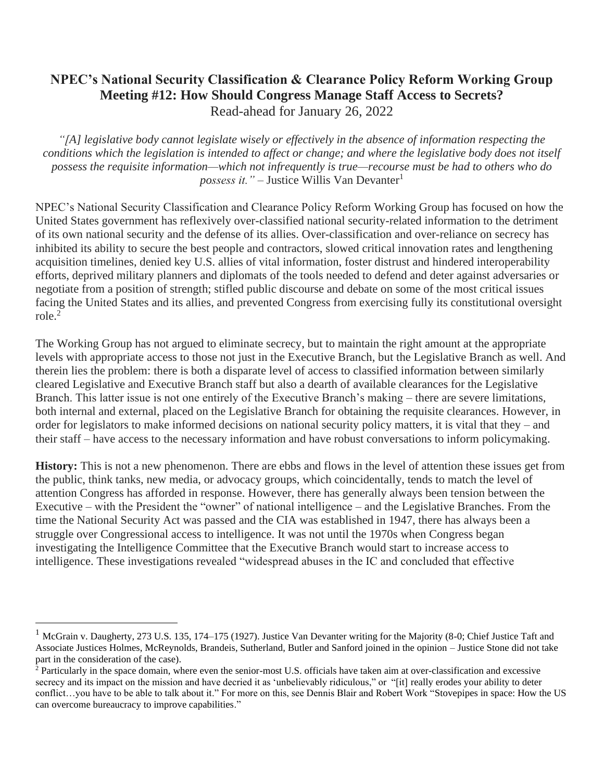## **NPEC's National Security Classification & Clearance Policy Reform Working Group Meeting #12: How Should Congress Manage Staff Access to Secrets?** Read-ahead for January 26, 2022

*"[A] legislative body cannot legislate wisely or effectively in the absence of information respecting the conditions which the legislation is intended to affect or change; and where the legislative body does not itself possess the requisite information—which not infrequently is true—recourse must be had to others who do possess it.*" – Justice Willis Van Devanter<sup>1</sup>

NPEC's National Security Classification and Clearance Policy Reform Working Group has focused on how the United States government has reflexively over-classified national security-related information to the detriment of its own national security and the defense of its allies. Over-classification and over-reliance on secrecy has inhibited its ability to secure the best people and contractors, slowed critical innovation rates and lengthening acquisition timelines, denied key U.S. allies of vital information, foster distrust and hindered interoperability efforts, deprived military planners and diplomats of the tools needed to defend and deter against adversaries or negotiate from a position of strength; stifled public discourse and debate on some of the most critical issues facing the United States and its allies, and prevented Congress from exercising fully its constitutional oversight role.<sup>2</sup>

The Working Group has not argued to eliminate secrecy, but to maintain the right amount at the appropriate levels with appropriate access to those not just in the Executive Branch, but the Legislative Branch as well. And therein lies the problem: there is both a disparate level of access to classified information between similarly cleared Legislative and Executive Branch staff but also a dearth of available clearances for the Legislative Branch. This latter issue is not one entirely of the Executive Branch's making – there are severe limitations, both internal and external, placed on the Legislative Branch for obtaining the requisite clearances. However, in order for legislators to make informed decisions on national security policy matters, it is vital that they – and their staff – have access to the necessary information and have robust conversations to inform policymaking.

**History:** This is not a new phenomenon. There are ebbs and flows in the level of attention these issues get from the public, think tanks, new media, or advocacy groups, which coincidentally, tends to match the level of attention Congress has afforded in response. However, there has generally always been tension between the Executive – with the President the "owner" of national intelligence – and the Legislative Branches. From the time the National Security Act was passed and the CIA was established in 1947, there has always been a struggle over Congressional access to intelligence. It was not until the 1970s when Congress began investigating the Intelligence Committee that the Executive Branch would start to increase access to intelligence. These investigations revealed "widespread abuses in the IC and concluded that effective

<sup>&</sup>lt;sup>1</sup> McGrain v. Daugherty, 273 U.S. 135, 174–175 (1927). Justice Van Devanter writing for the Majority (8-0; Chief Justice Taft and Associate Justices Holmes, McReynolds, Brandeis, Sutherland, Butler and Sanford joined in the opinion – Justice Stone did not take part in the consideration of the case).

<sup>&</sup>lt;sup>2</sup> Particularly in the space domain, where even the senior-most U.S. officials have taken aim at over-classification and excessive secrecy and its impact on the mission and have decried it as 'unbelievably ridiculous," or "[it] really erodes your ability to deter conflict…you have to be able to talk about it." For more on this, see Dennis Blair and Robert Work "Stovepipes in space: How the US can overcome bureaucracy to improve capabilities."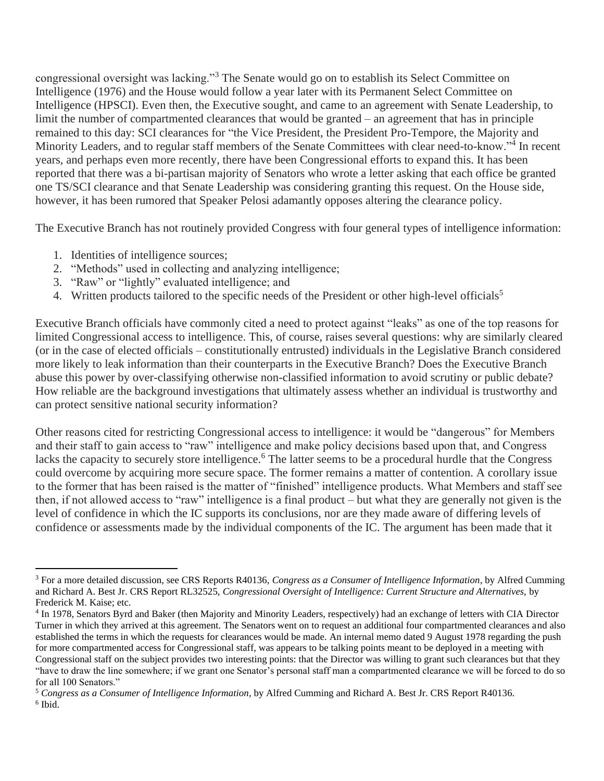congressional oversight was lacking."<sup>3</sup> The Senate would go on to establish its Select Committee on Intelligence (1976) and the House would follow a year later with its Permanent Select Committee on Intelligence (HPSCI). Even then, the Executive sought, and came to an agreement with Senate Leadership, to limit the number of compartmented clearances that would be granted – an agreement that has in principle remained to this day: SCI clearances for "the Vice President, the President Pro-Tempore, the Majority and Minority Leaders, and to regular staff members of the Senate Committees with clear need-to-know."<sup>4</sup> In recent years, and perhaps even more recently, there have been Congressional efforts to expand this. It has been reported that there was a bi-partisan majority of Senators who wrote a letter asking that each office be granted one TS/SCI clearance and that Senate Leadership was considering granting this request. On the House side, however, it has been rumored that Speaker Pelosi adamantly opposes altering the clearance policy.

The Executive Branch has not routinely provided Congress with four general types of intelligence information:

- 1. Identities of intelligence sources;
- 2. "Methods" used in collecting and analyzing intelligence;
- 3. "Raw" or "lightly" evaluated intelligence; and
- 4. Written products tailored to the specific needs of the President or other high-level officials<sup>5</sup>

Executive Branch officials have commonly cited a need to protect against "leaks" as one of the top reasons for limited Congressional access to intelligence. This, of course, raises several questions: why are similarly cleared (or in the case of elected officials – constitutionally entrusted) individuals in the Legislative Branch considered more likely to leak information than their counterparts in the Executive Branch? Does the Executive Branch abuse this power by over-classifying otherwise non-classified information to avoid scrutiny or public debate? How reliable are the background investigations that ultimately assess whether an individual is trustworthy and can protect sensitive national security information?

Other reasons cited for restricting Congressional access to intelligence: it would be "dangerous" for Members and their staff to gain access to "raw" intelligence and make policy decisions based upon that, and Congress lacks the capacity to securely store intelligence.<sup>6</sup> The latter seems to be a procedural hurdle that the Congress could overcome by acquiring more secure space. The former remains a matter of contention. A corollary issue to the former that has been raised is the matter of "finished" intelligence products. What Members and staff see then, if not allowed access to "raw" intelligence is a final product – but what they are generally not given is the level of confidence in which the IC supports its conclusions, nor are they made aware of differing levels of confidence or assessments made by the individual components of the IC. The argument has been made that it

<sup>3</sup> For a more detailed discussion, see CRS Reports R40136, *Congress as a Consumer of Intelligence Information*, by Alfred Cumming and Richard A. Best Jr. CRS Report RL32525, *Congressional Oversight of Intelligence: Current Structure and Alternatives,* by Frederick M. Kaise; etc.

<sup>&</sup>lt;sup>4</sup> In 1978, Senators Byrd and Baker (then Majority and Minority Leaders, respectively) had an exchange of letters with CIA Director Turner in which they arrived at this agreement. The Senators went on to request an additional four compartmented clearances and also established the terms in which the requests for clearances would be made. An internal memo dated 9 August 1978 regarding the push for more compartmented access for Congressional staff, was appears to be talking points meant to be deployed in a meeting with Congressional staff on the subject provides two interesting points: that the Director was willing to grant such clearances but that they "have to draw the line somewhere; if we grant one Senator's personal staff man a compartmented clearance we will be forced to do so for all 100 Senators."

<sup>5</sup> *Congress as a Consumer of Intelligence Information*, by Alfred Cumming and Richard A. Best Jr. CRS Report R40136. 6 Ibid.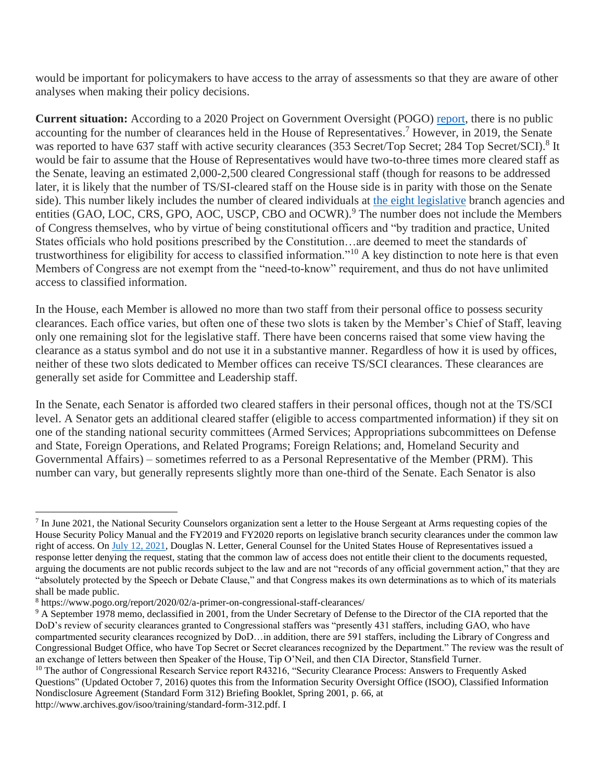would be important for policymakers to have access to the array of assessments so that they are aware of other analyses when making their policy decisions.

**Current situation:** According to a 2020 Project on Government Oversight (POGO) [report,](https://www.pogo.org/report/2020/02/a-primer-on-congressional-staff-clearances/) there is no public accounting for the number of clearances held in the House of Representatives.<sup>7</sup> However, in 2019, the Senate was reported to have 637 staff with active security clearances (353 Secret/Top Secret; 284 Top Secret/SCI).<sup>8</sup> It would be fair to assume that the House of Representatives would have two-to-three times more cleared staff as the Senate, leaving an estimated 2,000-2,500 cleared Congressional staff (though for reasons to be addressed later, it is likely that the number of TS/SI-cleared staff on the House side is in parity with those on the Senate side). This number likely includes the number of cleared individuals at [the eight legislative](https://sgp.fas.org/crs/misc/R42072.pdf) branch agencies and entities (GAO, LOC, CRS, GPO, AOC, USCP, CBO and OCWR).<sup>9</sup> The number does not include the Members of Congress themselves, who by virtue of being constitutional officers and "by tradition and practice, United States officials who hold positions prescribed by the Constitution…are deemed to meet the standards of trustworthiness for eligibility for access to classified information."<sup>10</sup> A key distinction to note here is that even Members of Congress are not exempt from the "need-to-know" requirement, and thus do not have unlimited access to classified information.

In the House, each Member is allowed no more than two staff from their personal office to possess security clearances. Each office varies, but often one of these two slots is taken by the Member's Chief of Staff, leaving only one remaining slot for the legislative staff. There have been concerns raised that some view having the clearance as a status symbol and do not use it in a substantive manner. Regardless of how it is used by offices, neither of these two slots dedicated to Member offices can receive TS/SCI clearances. These clearances are generally set aside for Committee and Leadership staff.

In the Senate, each Senator is afforded two cleared staffers in their personal offices, though not at the TS/SCI level. A Senator gets an additional cleared staffer (eligible to access compartmented information) if they sit on one of the standing national security committees (Armed Services; Appropriations subcommittees on Defense and State, Foreign Operations, and Related Programs; Foreign Relations; and, Homeland Security and Governmental Affairs) – sometimes referred to as a Personal Representative of the Member (PRM). This number can vary, but generally represents slightly more than one-third of the Senate. Each Senator is also

 $7$  In June 2021, the National Security Counselors organization sent a letter to the House Sergeant at Arms requesting copies of the House Security Policy Manual and the FY2019 and FY2020 reports on legislative branch security clearances under the common law right of access. On [July 12, 2021,](https://www.politico.com/f/?id=0000017b-5501-d185-a97b-7f1f4c620000) Douglas N. Letter, General Counsel for the United States House of Representatives issued a response letter denying the request, stating that the common law of access does not entitle their client to the documents requested, arguing the documents are not public records subject to the law and are not "records of any official government action," that they are "absolutely protected by the Speech or Debate Clause," and that Congress makes its own determinations as to which of its materials shall be made public.

<sup>8</sup> https://www.pogo.org/report/2020/02/a-primer-on-congressional-staff-clearances/

<sup>9</sup> A September 1978 memo, declassified in 2001, from the Under Secretary of Defense to the Director of the CIA reported that the DoD's review of security clearances granted to Congressional staffers was "presently 431 staffers, including GAO, who have compartmented security clearances recognized by DoD…in addition, there are 591 staffers, including the Library of Congress and Congressional Budget Office, who have Top Secret or Secret clearances recognized by the Department." The review was the result of an exchange of letters between then Speaker of the House, Tip O'Neil, and then CIA Director, Stansfield Turner.

<sup>&</sup>lt;sup>10</sup> The author of Congressional Research Service report R43216, "Security Clearance Process: Answers to Frequently Asked Questions" (Updated October 7, 2016) quotes this from the Information Security Oversight Office (ISOO), Classified Information Nondisclosure Agreement (Standard Form 312) Briefing Booklet, Spring 2001, p. 66, at http://www.archives.gov/isoo/training/standard-form-312.pdf. I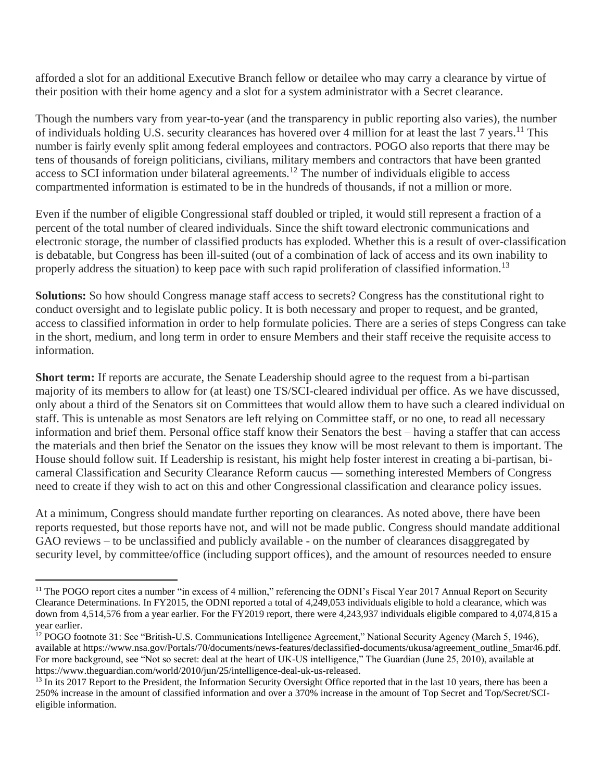afforded a slot for an additional Executive Branch fellow or detailee who may carry a clearance by virtue of their position with their home agency and a slot for a system administrator with a Secret clearance.

Though the numbers vary from year-to-year (and the transparency in public reporting also varies), the number of individuals holding U.S. security clearances has hovered over 4 million for at least the last 7 years.<sup>11</sup> This number is fairly evenly split among federal employees and contractors. POGO also reports that there may be tens of thousands of foreign politicians, civilians, military members and contractors that have been granted access to SCI information under bilateral agreements.<sup>12</sup> The number of individuals eligible to access compartmented information is estimated to be in the hundreds of thousands, if not a million or more.

Even if the number of eligible Congressional staff doubled or tripled, it would still represent a fraction of a percent of the total number of cleared individuals. Since the shift toward electronic communications and electronic storage, the number of classified products has exploded. Whether this is a result of over-classification is debatable, but Congress has been ill-suited (out of a combination of lack of access and its own inability to properly address the situation) to keep pace with such rapid proliferation of classified information.<sup>13</sup>

**Solutions:** So how should Congress manage staff access to secrets? Congress has the constitutional right to conduct oversight and to legislate public policy. It is both necessary and proper to request, and be granted, access to classified information in order to help formulate policies. There are a series of steps Congress can take in the short, medium, and long term in order to ensure Members and their staff receive the requisite access to information.

**Short term:** If reports are accurate, the Senate Leadership should agree to the request from a bi-partisan majority of its members to allow for (at least) one TS/SCI-cleared individual per office. As we have discussed, only about a third of the Senators sit on Committees that would allow them to have such a cleared individual on staff. This is untenable as most Senators are left relying on Committee staff, or no one, to read all necessary information and brief them. Personal office staff know their Senators the best – having a staffer that can access the materials and then brief the Senator on the issues they know will be most relevant to them is important. The House should follow suit. If Leadership is resistant, his might help foster interest in creating a bi-partisan, bicameral Classification and Security Clearance Reform caucus — something interested Members of Congress need to create if they wish to act on this and other Congressional classification and clearance policy issues.

At a minimum, Congress should mandate further reporting on clearances. As noted above, there have been reports requested, but those reports have not, and will not be made public. Congress should mandate additional GAO reviews – to be unclassified and publicly available - on the number of clearances disaggregated by security level, by committee/office (including support offices), and the amount of resources needed to ensure

<sup>&</sup>lt;sup>11</sup> The POGO report cites a number "in excess of 4 million," referencing the ODNI's Fiscal Year 2017 Annual Report on Security Clearance Determinations. In FY2015, the ODNI reported a total of 4,249,053 individuals eligible to hold a clearance, which was down from 4,514,576 from a year earlier. For the FY2019 report, there were 4,243,937 individuals eligible compared to 4,074,815 a year earlier.

<sup>&</sup>lt;sup>12</sup> POGO footnote 31: See "British-U.S. Communications Intelligence Agreement," National Security Agency (March 5, 1946), available at https://www.nsa.gov/Portals/70/documents/news-features/declassified-documents/ukusa/agreement\_outline\_5mar46.pdf. For more background, see "Not so secret: deal at the heart of UK-US intelligence," The Guardian (June 25, 2010), available at https://www.theguardian.com/world/2010/jun/25/intelligence-deal-uk-us-released.

<sup>&</sup>lt;sup>13</sup> In its 2017 Report to the President, the Information Security Oversight Office reported that in the last 10 years, there has been a 250% increase in the amount of classified information and over a 370% increase in the amount of Top Secret and Top/Secret/SCIeligible information.